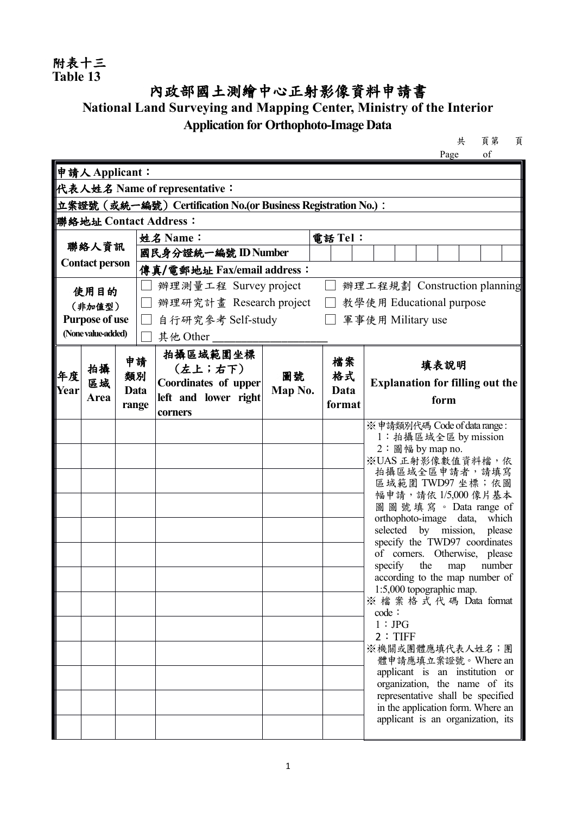## 附表十三<br>Table 13

## 內政部國土測繪中心正射影像資料申請書

## **National Land Surveying and Mapping Center, Ministry of the Interior Application for Orthophoto-Image Data**

共 頁第 頁

|                                                               |               |       |                     |                                                               |                   |        | Page<br>οf                                                       |  |
|---------------------------------------------------------------|---------------|-------|---------------------|---------------------------------------------------------------|-------------------|--------|------------------------------------------------------------------|--|
|                                                               | 申請人Applicant: |       |                     |                                                               |                   |        |                                                                  |  |
|                                                               |               |       |                     | 代表人姓名 Name of representative:                                 |                   |        |                                                                  |  |
|                                                               |               |       |                     | 立案證號 (或統一編號) Certification No.(or Business Registration No.): |                   |        |                                                                  |  |
| 聯絡地址 Contact Address:                                         |               |       |                     |                                                               |                   |        |                                                                  |  |
| 聯絡人資訊<br><b>Contact person</b>                                |               |       | 電話 Tel:<br>姓名 Name: |                                                               |                   |        |                                                                  |  |
|                                                               |               |       |                     | 國民身分證統一編號 ID Number                                           |                   |        |                                                                  |  |
|                                                               |               |       |                     | 傳真/電郵地址 Fax/email address:                                    |                   |        |                                                                  |  |
| 使用目的<br>(非加值型)<br><b>Purpose of use</b><br>(None value-added) |               |       |                     | 辦理測量工程 Survey project                                         |                   |        | 辦理工程規劃 Construction planning                                     |  |
|                                                               |               |       |                     | 辦理研究計畫 Research project                                       |                   |        | 教學使用 Educational purpose                                         |  |
|                                                               |               |       |                     | 自行研究參考 Self-study                                             | 軍事使用 Military use |        |                                                                  |  |
|                                                               |               |       |                     | 其他 Other                                                      |                   |        |                                                                  |  |
|                                                               |               | 申請    |                     | 拍攝區域範圍坐標                                                      |                   | 檔案     | 填表說明                                                             |  |
| 年度                                                            | 拍攝<br>區域      | 類別    |                     | $(\pm \perp : \pm \top)$<br>Coordinates of upper              | 圖號                | 格式     | <b>Explanation for filling out the</b>                           |  |
| Year                                                          | Area          | Data  |                     | left and lower right                                          | Map No.           | Data   | form                                                             |  |
|                                                               |               | range |                     | corners                                                       |                   | format |                                                                  |  |
|                                                               |               |       |                     |                                                               |                   |        | ※申請類別代碼 Code of data range:                                      |  |
|                                                               |               |       |                     |                                                               |                   |        | 1: 拍攝區域全區 by mission<br>$2:$ 圖幅 by map no.                       |  |
|                                                               |               |       |                     |                                                               |                   |        | ※UAS 正射影像數值資料檔,依                                                 |  |
|                                                               |               |       |                     |                                                               |                   |        | 拍攝區域全區申請者,請填寫<br>區域範圍 TWD97 坐標;依圖                                |  |
|                                                               |               |       |                     |                                                               |                   |        | 幅申請,請依1/5,000像片基本                                                |  |
|                                                               |               |       |                     |                                                               |                   |        | 圖圖號填寫。Data range of                                              |  |
|                                                               |               |       |                     |                                                               |                   |        | orthophoto-image data,<br>which<br>selected by mission, please   |  |
|                                                               |               |       |                     |                                                               |                   |        | specify the TWD97 coordinates                                    |  |
|                                                               |               |       |                     |                                                               |                   |        | of corners. Otherwise, please<br>the<br>specify<br>number<br>map |  |
|                                                               |               |       |                     |                                                               |                   |        | according to the map number of                                   |  |
|                                                               |               |       |                     |                                                               |                   |        | 1:5,000 topographic map.<br>※檔案格式代碼 Data format                  |  |
|                                                               |               |       |                     |                                                               |                   |        | code:                                                            |  |
|                                                               |               |       |                     |                                                               |                   |        | 1:JPG                                                            |  |
|                                                               |               |       |                     |                                                               |                   |        | 2: TIFF<br>※機關或團體應填代表人姓名;團                                       |  |
|                                                               |               |       |                     |                                                               |                   |        | 體申請應填立案證號。Where an                                               |  |
|                                                               |               |       |                     |                                                               |                   |        | applicant is an institution or<br>organization, the name of its  |  |
|                                                               |               |       |                     |                                                               |                   |        | representative shall be specified                                |  |
|                                                               |               |       |                     |                                                               |                   |        | in the application form. Where an                                |  |
|                                                               |               |       |                     |                                                               |                   |        | applicant is an organization, its                                |  |
|                                                               |               |       |                     |                                                               |                   |        |                                                                  |  |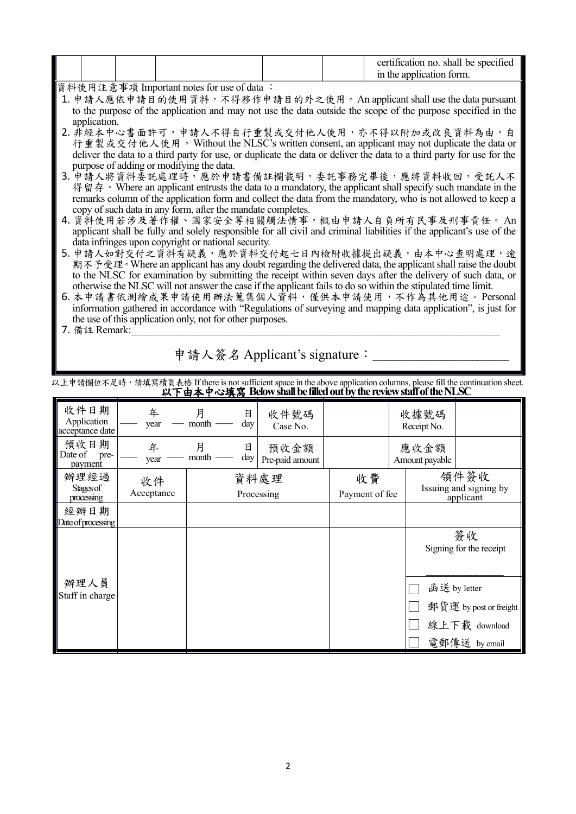|--|

資料使用注意事項 Important notes for use of data :

- 1. 申請人應依申請目的使用資料,不得移作申請目的外之使用。An applicant shall use the data pursuant to the purpose of the application and may not use the data outside the scope of the purpose specified in the application.
- 2. 非經本中心書面許可,申請人不得自行重製或交付他人使用,亦不得以附加或改良資料為由,自<br>行重製或交付他人使用。Without the NLSC's written consent, an applicant may not duplicate the data or deliver the data to a third party for use, or duplicate the data or deliver the data to a third party for use for the purpose of adding or modifying the data.
- 3. 申請人將資料委託處理時,應於申請書備註欄載明,委託事務完畢後,應將資料收回,受託人不<br>- 得留存。Where an applicant entrusts the data to a mandatory, the applicant shall specify such mandate in the remarks column of the application form and collect the data from the mandatory, who is not allowed to keep a copy of such data in any form, after the mandate completes.
- 4. 資料使用若涉及著作權、國家安全等相關觸法情事,概由申請人自負所有民事及刑事責任。 An applicant shall be fully and solely responsible for all civil and criminal liabilities if the applicant's use of the data infringes upon copyright or national security.
- 5. 申請人如對交付之資料有疑義,應於資料交付起七日內檢附收據提出疑義,由本中心查明處理,逾<br>期不予受理。Where an applicant has any doubt regarding the delivered data, the applicant shall raise the doubt to the NLSC for examination by submitting the receipt within seven days after the delivery of such data, or otherwise the NLSC will not answer the case if the applicant fails to do so within the stipulated time limit.
- 6. 本申請書依測繪成果申請使用辦法蒐集個人資料,僅供本申請使用,不作為其他用途。Personal information gathered in accordance with "Regulations of surveying and mapping data application", is just for the use of this application only, not for other purposes.

7. 備註 Remark:

申請人簽名 Applicant's signature:

以上申請欄位不足時,請填寫續頁表格 If there is not sufficient space in the above application columns, please fill the continuation sheet.<br>**以下由本中心填寫 Below shall be filled out by the review staff of the NLSC** 

| 收件日期<br>Application<br>acceptance date | 年<br>year        | 月<br>日<br>month<br>day | 收件號碼<br>Case No.        |    | 收據號碼<br>Receipt No.                                           |                                                                          |
|----------------------------------------|------------------|------------------------|-------------------------|----|---------------------------------------------------------------|--------------------------------------------------------------------------|
| 預收日期<br>Date of<br>pre-<br>payment     | 年<br>year        | 月<br>日<br>month<br>day | 預收金額<br>Pre-paid amount |    | 應收金額<br>Amount payable                                        |                                                                          |
| 辦理經過<br>Stages of<br>processing        | 收件<br>Acceptance |                        | 資料處理<br>Processing      | 收費 | 領件簽收<br>Issuing and signing by<br>Payment of fee<br>applicant |                                                                          |
| 經辦日期<br>Date of processing             |                  |                        |                         |    |                                                               |                                                                          |
|                                        |                  |                        |                         |    |                                                               | 簽收<br>Signing for the receipt                                            |
| 辦理人員<br>Staff in charge                |                  |                        |                         |    |                                                               | 函送 by letter<br>郵貨運 by post or freight<br>線上下載 download<br>電郵傳送 by email |